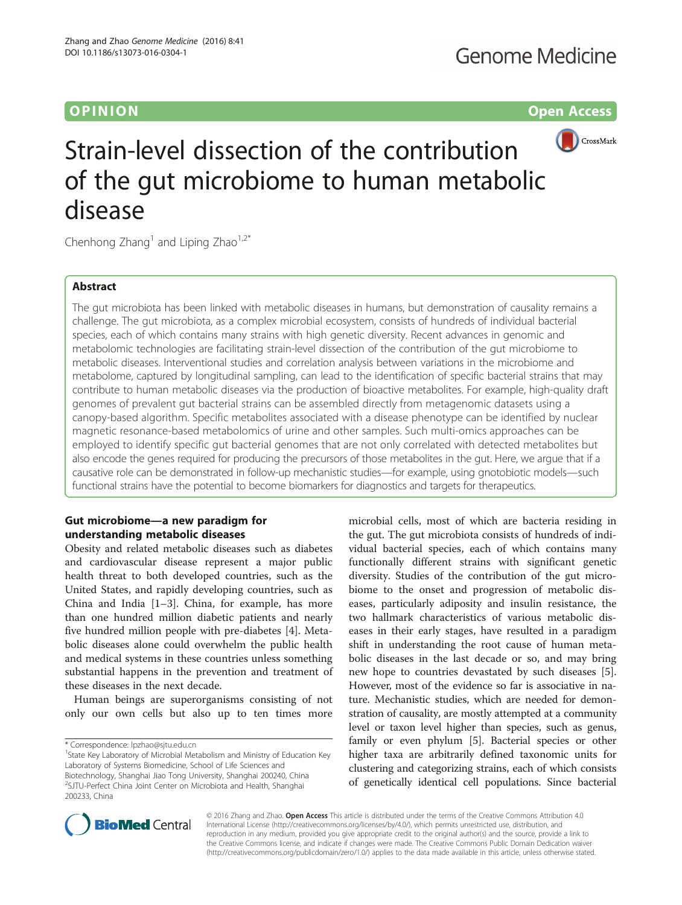O PINION Open Access



# Strain-level dissection of the contribution of the gut microbiome to human metabolic disease

Chenhong  $Zhang<sup>1</sup>$  and Liping  $Zhao<sup>1,2*</sup>$ 

# Abstract

The gut microbiota has been linked with metabolic diseases in humans, but demonstration of causality remains a challenge. The gut microbiota, as a complex microbial ecosystem, consists of hundreds of individual bacterial species, each of which contains many strains with high genetic diversity. Recent advances in genomic and metabolomic technologies are facilitating strain-level dissection of the contribution of the gut microbiome to metabolic diseases. Interventional studies and correlation analysis between variations in the microbiome and metabolome, captured by longitudinal sampling, can lead to the identification of specific bacterial strains that may contribute to human metabolic diseases via the production of bioactive metabolites. For example, high-quality draft genomes of prevalent gut bacterial strains can be assembled directly from metagenomic datasets using a canopy-based algorithm. Specific metabolites associated with a disease phenotype can be identified by nuclear magnetic resonance-based metabolomics of urine and other samples. Such multi-omics approaches can be employed to identify specific gut bacterial genomes that are not only correlated with detected metabolites but also encode the genes required for producing the precursors of those metabolites in the gut. Here, we argue that if a causative role can be demonstrated in follow-up mechanistic studies—for example, using gnotobiotic models—such functional strains have the potential to become biomarkers for diagnostics and targets for therapeutics.

# Gut microbiome—a new paradigm for understanding metabolic diseases

Obesity and related metabolic diseases such as diabetes and cardiovascular disease represent a major public health threat to both developed countries, such as the United States, and rapidly developing countries, such as China and India [\[1](#page-7-0)–[3\]](#page-7-0). China, for example, has more than one hundred million diabetic patients and nearly five hundred million people with pre-diabetes [\[4](#page-7-0)]. Metabolic diseases alone could overwhelm the public health and medical systems in these countries unless something substantial happens in the prevention and treatment of these diseases in the next decade.

Human beings are superorganisms consisting of not only our own cells but also up to ten times more

microbial cells, most of which are bacteria residing in the gut. The gut microbiota consists of hundreds of individual bacterial species, each of which contains many functionally different strains with significant genetic diversity. Studies of the contribution of the gut microbiome to the onset and progression of metabolic diseases, particularly adiposity and insulin resistance, the two hallmark characteristics of various metabolic diseases in their early stages, have resulted in a paradigm shift in understanding the root cause of human metabolic diseases in the last decade or so, and may bring new hope to countries devastated by such diseases [\[5](#page-7-0)]. However, most of the evidence so far is associative in nature. Mechanistic studies, which are needed for demonstration of causality, are mostly attempted at a community level or taxon level higher than species, such as genus, family or even phylum [[5\]](#page-7-0). Bacterial species or other higher taxa are arbitrarily defined taxonomic units for clustering and categorizing strains, each of which consists of genetically identical cell populations. Since bacterial



© 2016 Zhang and Zhao. Open Access This article is distributed under the terms of the Creative Commons Attribution 4.0 International License [\(http://creativecommons.org/licenses/by/4.0/](http://creativecommons.org/licenses/by/4.0/)), which permits unrestricted use, distribution, and reproduction in any medium, provided you give appropriate credit to the original author(s) and the source, provide a link to the Creative Commons license, and indicate if changes were made. The Creative Commons Public Domain Dedication waiver [\(http://creativecommons.org/publicdomain/zero/1.0/](http://creativecommons.org/publicdomain/zero/1.0/)) applies to the data made available in this article, unless otherwise stated.

<sup>\*</sup> Correspondence: [lpzhao@sjtu.edu.cn](mailto:lpzhao@sjtu.edu.cn) <sup>1</sup>

<sup>&</sup>lt;sup>1</sup>State Key Laboratory of Microbial Metabolism and Ministry of Education Key Laboratory of Systems Biomedicine, School of Life Sciences and Biotechnology, Shanghai Jiao Tong University, Shanghai 200240, China 2 SJTU-Perfect China Joint Center on Microbiota and Health, Shanghai 200233, China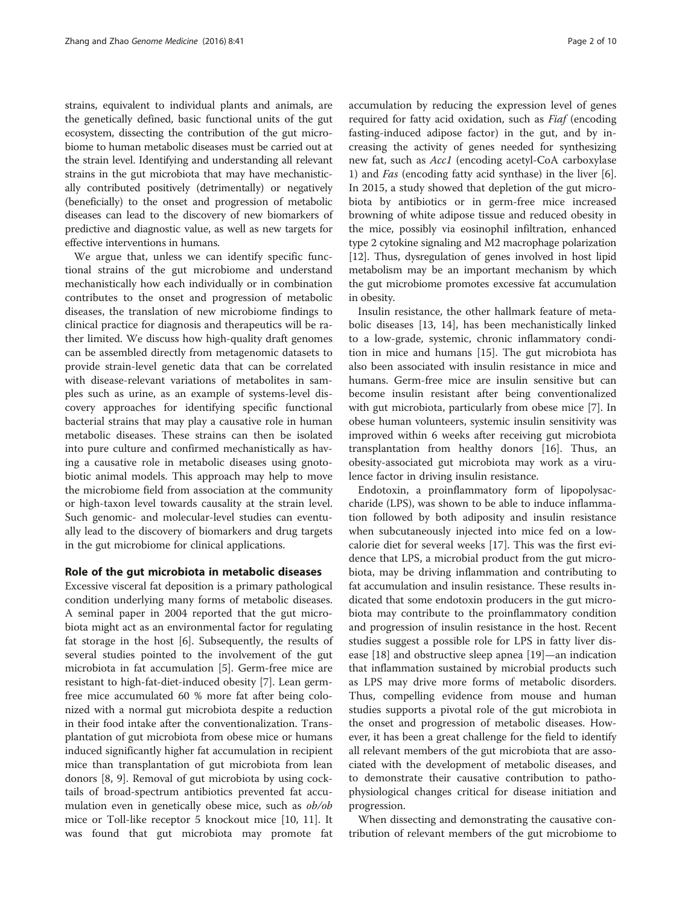strains, equivalent to individual plants and animals, are the genetically defined, basic functional units of the gut ecosystem, dissecting the contribution of the gut microbiome to human metabolic diseases must be carried out at the strain level. Identifying and understanding all relevant strains in the gut microbiota that may have mechanistically contributed positively (detrimentally) or negatively (beneficially) to the onset and progression of metabolic diseases can lead to the discovery of new biomarkers of predictive and diagnostic value, as well as new targets for effective interventions in humans.

We argue that, unless we can identify specific functional strains of the gut microbiome and understand mechanistically how each individually or in combination contributes to the onset and progression of metabolic diseases, the translation of new microbiome findings to clinical practice for diagnosis and therapeutics will be rather limited. We discuss how high-quality draft genomes can be assembled directly from metagenomic datasets to provide strain-level genetic data that can be correlated with disease-relevant variations of metabolites in samples such as urine, as an example of systems-level discovery approaches for identifying specific functional bacterial strains that may play a causative role in human metabolic diseases. These strains can then be isolated into pure culture and confirmed mechanistically as having a causative role in metabolic diseases using gnotobiotic animal models. This approach may help to move the microbiome field from association at the community or high-taxon level towards causality at the strain level. Such genomic- and molecular-level studies can eventually lead to the discovery of biomarkers and drug targets in the gut microbiome for clinical applications.

#### Role of the gut microbiota in metabolic diseases

Excessive visceral fat deposition is a primary pathological condition underlying many forms of metabolic diseases. A seminal paper in 2004 reported that the gut microbiota might act as an environmental factor for regulating fat storage in the host [\[6](#page-7-0)]. Subsequently, the results of several studies pointed to the involvement of the gut microbiota in fat accumulation [[5\]](#page-7-0). Germ-free mice are resistant to high-fat-diet-induced obesity [[7\]](#page-7-0). Lean germfree mice accumulated 60 % more fat after being colonized with a normal gut microbiota despite a reduction in their food intake after the conventionalization. Transplantation of gut microbiota from obese mice or humans induced significantly higher fat accumulation in recipient mice than transplantation of gut microbiota from lean donors [[8,](#page-7-0) [9\]](#page-8-0). Removal of gut microbiota by using cocktails of broad-spectrum antibiotics prevented fat accumulation even in genetically obese mice, such as ob/ob mice or Toll-like receptor 5 knockout mice [[10, 11\]](#page-8-0). It was found that gut microbiota may promote fat accumulation by reducing the expression level of genes required for fatty acid oxidation, such as *Fiaf* (encoding fasting-induced adipose factor) in the gut, and by increasing the activity of genes needed for synthesizing new fat, such as Acc1 (encoding acetyl-CoA carboxylase 1) and Fas (encoding fatty acid synthase) in the liver [\[6](#page-7-0)]. In 2015, a study showed that depletion of the gut microbiota by antibiotics or in germ-free mice increased browning of white adipose tissue and reduced obesity in the mice, possibly via eosinophil infiltration, enhanced type 2 cytokine signaling and M2 macrophage polarization [[12](#page-8-0)]. Thus, dysregulation of genes involved in host lipid metabolism may be an important mechanism by which the gut microbiome promotes excessive fat accumulation in obesity.

Insulin resistance, the other hallmark feature of metabolic diseases [[13, 14](#page-8-0)], has been mechanistically linked to a low-grade, systemic, chronic inflammatory condition in mice and humans [[15\]](#page-8-0). The gut microbiota has also been associated with insulin resistance in mice and humans. Germ-free mice are insulin sensitive but can become insulin resistant after being conventionalized with gut microbiota, particularly from obese mice [\[7](#page-7-0)]. In obese human volunteers, systemic insulin sensitivity was improved within 6 weeks after receiving gut microbiota transplantation from healthy donors [\[16\]](#page-8-0). Thus, an obesity-associated gut microbiota may work as a virulence factor in driving insulin resistance.

Endotoxin, a proinflammatory form of lipopolysaccharide (LPS), was shown to be able to induce inflammation followed by both adiposity and insulin resistance when subcutaneously injected into mice fed on a lowcalorie diet for several weeks [\[17\]](#page-8-0). This was the first evidence that LPS, a microbial product from the gut microbiota, may be driving inflammation and contributing to fat accumulation and insulin resistance. These results indicated that some endotoxin producers in the gut microbiota may contribute to the proinflammatory condition and progression of insulin resistance in the host. Recent studies suggest a possible role for LPS in fatty liver disease [[18\]](#page-8-0) and obstructive sleep apnea [\[19\]](#page-8-0)—an indication that inflammation sustained by microbial products such as LPS may drive more forms of metabolic disorders. Thus, compelling evidence from mouse and human studies supports a pivotal role of the gut microbiota in the onset and progression of metabolic diseases. However, it has been a great challenge for the field to identify all relevant members of the gut microbiota that are associated with the development of metabolic diseases, and to demonstrate their causative contribution to pathophysiological changes critical for disease initiation and progression.

When dissecting and demonstrating the causative contribution of relevant members of the gut microbiome to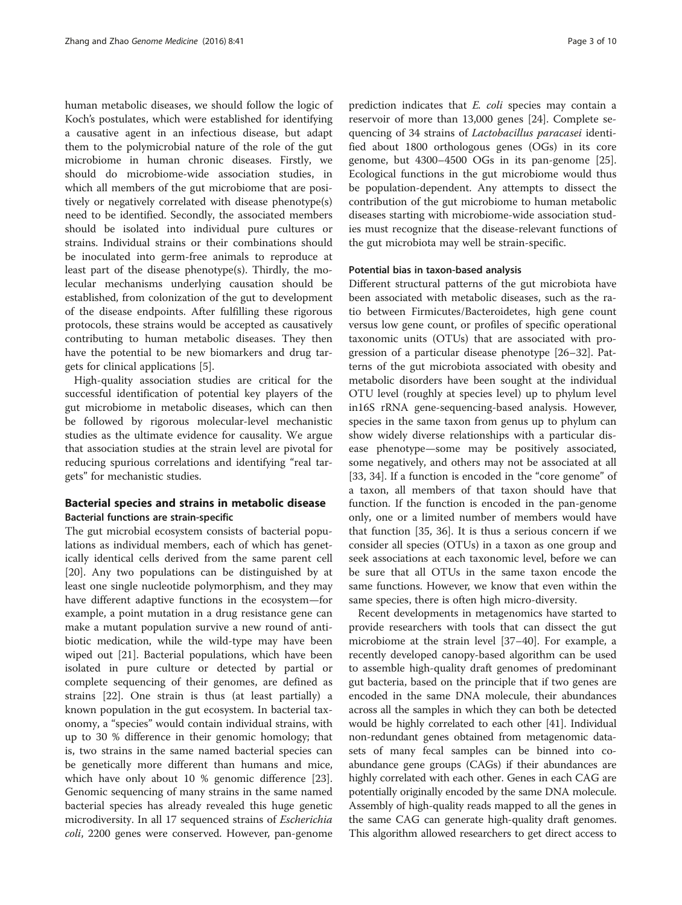human metabolic diseases, we should follow the logic of Koch's postulates, which were established for identifying a causative agent in an infectious disease, but adapt them to the polymicrobial nature of the role of the gut microbiome in human chronic diseases. Firstly, we should do microbiome-wide association studies, in which all members of the gut microbiome that are positively or negatively correlated with disease phenotype(s) need to be identified. Secondly, the associated members should be isolated into individual pure cultures or strains. Individual strains or their combinations should be inoculated into germ-free animals to reproduce at least part of the disease phenotype(s). Thirdly, the molecular mechanisms underlying causation should be established, from colonization of the gut to development of the disease endpoints. After fulfilling these rigorous protocols, these strains would be accepted as causatively contributing to human metabolic diseases. They then have the potential to be new biomarkers and drug targets for clinical applications [\[5\]](#page-7-0).

High-quality association studies are critical for the successful identification of potential key players of the gut microbiome in metabolic diseases, which can then be followed by rigorous molecular-level mechanistic studies as the ultimate evidence for causality. We argue that association studies at the strain level are pivotal for reducing spurious correlations and identifying "real targets" for mechanistic studies.

# Bacterial species and strains in metabolic disease Bacterial functions are strain-specific

The gut microbial ecosystem consists of bacterial populations as individual members, each of which has genetically identical cells derived from the same parent cell [[20\]](#page-8-0). Any two populations can be distinguished by at least one single nucleotide polymorphism, and they may have different adaptive functions in the ecosystem—for example, a point mutation in a drug resistance gene can make a mutant population survive a new round of antibiotic medication, while the wild-type may have been wiped out [\[21\]](#page-8-0). Bacterial populations, which have been isolated in pure culture or detected by partial or complete sequencing of their genomes, are defined as strains [[22\]](#page-8-0). One strain is thus (at least partially) a known population in the gut ecosystem. In bacterial taxonomy, a "species" would contain individual strains, with up to 30 % difference in their genomic homology; that is, two strains in the same named bacterial species can be genetically more different than humans and mice, which have only about 10 % genomic difference [\[23](#page-8-0)]. Genomic sequencing of many strains in the same named bacterial species has already revealed this huge genetic microdiversity. In all 17 sequenced strains of Escherichia coli, 2200 genes were conserved. However, pan-genome

prediction indicates that E. coli species may contain a reservoir of more than 13,000 genes [\[24](#page-8-0)]. Complete sequencing of 34 strains of Lactobacillus paracasei identified about 1800 orthologous genes (OGs) in its core genome, but 4300–4500 OGs in its pan-genome [\[25](#page-8-0)]. Ecological functions in the gut microbiome would thus be population-dependent. Any attempts to dissect the contribution of the gut microbiome to human metabolic diseases starting with microbiome-wide association studies must recognize that the disease-relevant functions of the gut microbiota may well be strain-specific.

#### Potential bias in taxon-based analysis

Different structural patterns of the gut microbiota have been associated with metabolic diseases, such as the ratio between Firmicutes/Bacteroidetes, high gene count versus low gene count, or profiles of specific operational taxonomic units (OTUs) that are associated with progression of a particular disease phenotype [\[26](#page-8-0)–[32\]](#page-8-0). Patterns of the gut microbiota associated with obesity and metabolic disorders have been sought at the individual OTU level (roughly at species level) up to phylum level in16S rRNA gene-sequencing-based analysis. However, species in the same taxon from genus up to phylum can show widely diverse relationships with a particular disease phenotype—some may be positively associated, some negatively, and others may not be associated at all [[33, 34\]](#page-8-0). If a function is encoded in the "core genome" of a taxon, all members of that taxon should have that function. If the function is encoded in the pan-genome only, one or a limited number of members would have that function [[35](#page-8-0), [36\]](#page-8-0). It is thus a serious concern if we consider all species (OTUs) in a taxon as one group and seek associations at each taxonomic level, before we can be sure that all OTUs in the same taxon encode the same functions. However, we know that even within the same species, there is often high micro-diversity.

Recent developments in metagenomics have started to provide researchers with tools that can dissect the gut microbiome at the strain level [[37](#page-8-0)–[40](#page-8-0)]. For example, a recently developed canopy-based algorithm can be used to assemble high-quality draft genomes of predominant gut bacteria, based on the principle that if two genes are encoded in the same DNA molecule, their abundances across all the samples in which they can both be detected would be highly correlated to each other [[41](#page-8-0)]. Individual non-redundant genes obtained from metagenomic datasets of many fecal samples can be binned into coabundance gene groups (CAGs) if their abundances are highly correlated with each other. Genes in each CAG are potentially originally encoded by the same DNA molecule. Assembly of high-quality reads mapped to all the genes in the same CAG can generate high-quality draft genomes. This algorithm allowed researchers to get direct access to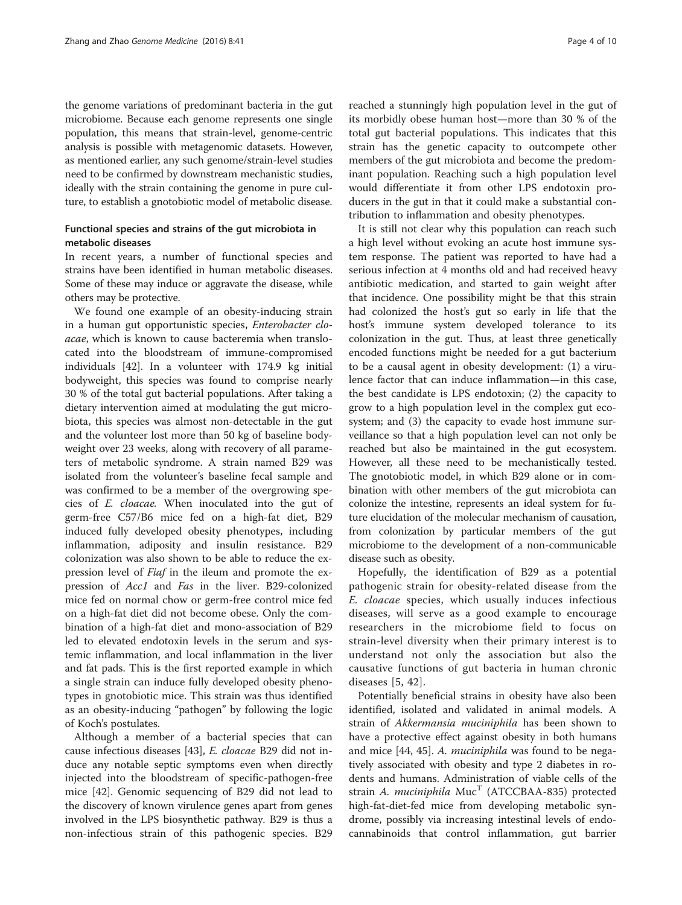the genome variations of predominant bacteria in the gut microbiome. Because each genome represents one single population, this means that strain-level, genome-centric analysis is possible with metagenomic datasets. However, as mentioned earlier, any such genome/strain-level studies need to be confirmed by downstream mechanistic studies, ideally with the strain containing the genome in pure culture, to establish a gnotobiotic model of metabolic disease.

# Functional species and strains of the gut microbiota in metabolic diseases

In recent years, a number of functional species and strains have been identified in human metabolic diseases. Some of these may induce or aggravate the disease, while others may be protective.

We found one example of an obesity-inducing strain in a human gut opportunistic species, Enterobacter cloacae, which is known to cause bacteremia when translocated into the bloodstream of immune-compromised individuals [[42\]](#page-8-0). In a volunteer with 174.9 kg initial bodyweight, this species was found to comprise nearly 30 % of the total gut bacterial populations. After taking a dietary intervention aimed at modulating the gut microbiota, this species was almost non-detectable in the gut and the volunteer lost more than 50 kg of baseline bodyweight over 23 weeks, along with recovery of all parameters of metabolic syndrome. A strain named B29 was isolated from the volunteer's baseline fecal sample and was confirmed to be a member of the overgrowing species of E. cloacae. When inoculated into the gut of germ-free C57/B6 mice fed on a high-fat diet, B29 induced fully developed obesity phenotypes, including inflammation, adiposity and insulin resistance. B29 colonization was also shown to be able to reduce the expression level of Fiaf in the ileum and promote the expression of Acc1 and Fas in the liver. B29-colonized mice fed on normal chow or germ-free control mice fed on a high-fat diet did not become obese. Only the combination of a high-fat diet and mono-association of B29 led to elevated endotoxin levels in the serum and systemic inflammation, and local inflammation in the liver and fat pads. This is the first reported example in which a single strain can induce fully developed obesity phenotypes in gnotobiotic mice. This strain was thus identified as an obesity-inducing "pathogen" by following the logic of Koch's postulates.

Although a member of a bacterial species that can cause infectious diseases [\[43\]](#page-8-0), E. cloacae B29 did not induce any notable septic symptoms even when directly injected into the bloodstream of specific-pathogen-free mice [[42](#page-8-0)]. Genomic sequencing of B29 did not lead to the discovery of known virulence genes apart from genes involved in the LPS biosynthetic pathway. B29 is thus a non-infectious strain of this pathogenic species. B29

reached a stunningly high population level in the gut of its morbidly obese human host—more than 30 % of the total gut bacterial populations. This indicates that this strain has the genetic capacity to outcompete other members of the gut microbiota and become the predominant population. Reaching such a high population level would differentiate it from other LPS endotoxin producers in the gut in that it could make a substantial contribution to inflammation and obesity phenotypes.

It is still not clear why this population can reach such a high level without evoking an acute host immune system response. The patient was reported to have had a serious infection at 4 months old and had received heavy antibiotic medication, and started to gain weight after that incidence. One possibility might be that this strain had colonized the host's gut so early in life that the host's immune system developed tolerance to its colonization in the gut. Thus, at least three genetically encoded functions might be needed for a gut bacterium to be a causal agent in obesity development: (1) a virulence factor that can induce inflammation—in this case, the best candidate is LPS endotoxin; (2) the capacity to grow to a high population level in the complex gut ecosystem; and (3) the capacity to evade host immune surveillance so that a high population level can not only be reached but also be maintained in the gut ecosystem. However, all these need to be mechanistically tested. The gnotobiotic model, in which B29 alone or in combination with other members of the gut microbiota can colonize the intestine, represents an ideal system for future elucidation of the molecular mechanism of causation, from colonization by particular members of the gut microbiome to the development of a non-communicable disease such as obesity.

Hopefully, the identification of B29 as a potential pathogenic strain for obesity-related disease from the E. cloacae species, which usually induces infectious diseases, will serve as a good example to encourage researchers in the microbiome field to focus on strain-level diversity when their primary interest is to understand not only the association but also the causative functions of gut bacteria in human chronic diseases [\[5](#page-7-0), [42](#page-8-0)].

Potentially beneficial strains in obesity have also been identified, isolated and validated in animal models. A strain of Akkermansia muciniphila has been shown to have a protective effect against obesity in both humans and mice [[44, 45\]](#page-8-0). A. muciniphila was found to be negatively associated with obesity and type 2 diabetes in rodents and humans. Administration of viable cells of the strain A. muciniphila Muc<sup>T</sup> (ATCCBAA-835) protected high-fat-diet-fed mice from developing metabolic syndrome, possibly via increasing intestinal levels of endocannabinoids that control inflammation, gut barrier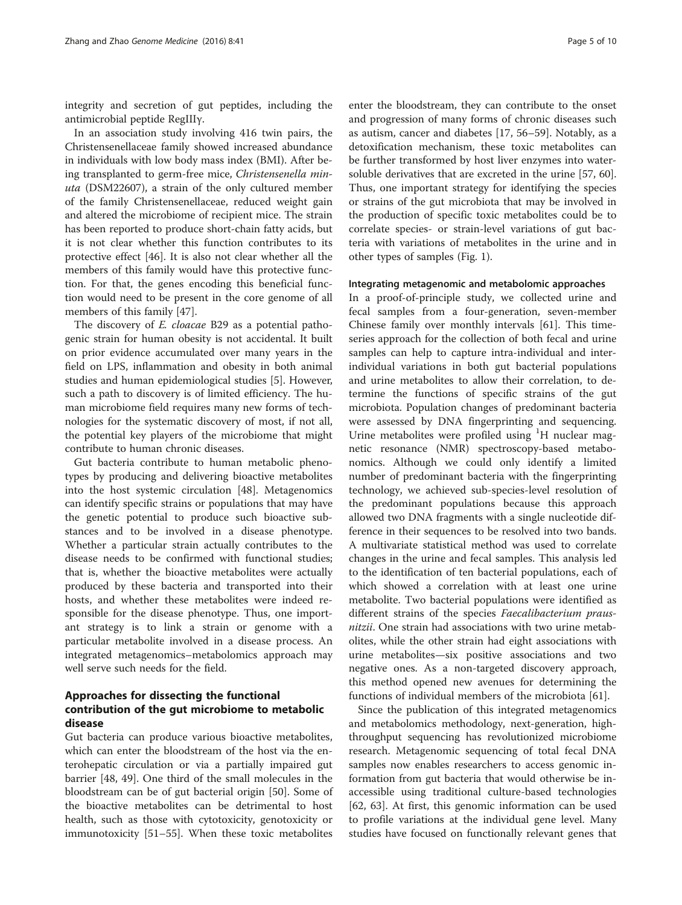integrity and secretion of gut peptides, including the antimicrobial peptide RegIIIγ.

In an association study involving 416 twin pairs, the Christensenellaceae family showed increased abundance in individuals with low body mass index (BMI). After being transplanted to germ-free mice, Christensenella minuta (DSM22607), a strain of the only cultured member of the family Christensenellaceae, reduced weight gain and altered the microbiome of recipient mice. The strain has been reported to produce short-chain fatty acids, but it is not clear whether this function contributes to its protective effect [[46\]](#page-8-0). It is also not clear whether all the members of this family would have this protective function. For that, the genes encoding this beneficial function would need to be present in the core genome of all members of this family [\[47\]](#page-8-0).

The discovery of E. cloacae B29 as a potential pathogenic strain for human obesity is not accidental. It built on prior evidence accumulated over many years in the field on LPS, inflammation and obesity in both animal studies and human epidemiological studies [\[5](#page-7-0)]. However, such a path to discovery is of limited efficiency. The human microbiome field requires many new forms of technologies for the systematic discovery of most, if not all, the potential key players of the microbiome that might contribute to human chronic diseases.

Gut bacteria contribute to human metabolic phenotypes by producing and delivering bioactive metabolites into the host systemic circulation [[48](#page-8-0)]. Metagenomics can identify specific strains or populations that may have the genetic potential to produce such bioactive substances and to be involved in a disease phenotype. Whether a particular strain actually contributes to the disease needs to be confirmed with functional studies; that is, whether the bioactive metabolites were actually produced by these bacteria and transported into their hosts, and whether these metabolites were indeed responsible for the disease phenotype. Thus, one important strategy is to link a strain or genome with a particular metabolite involved in a disease process. An integrated metagenomics–metabolomics approach may well serve such needs for the field.

# Approaches for dissecting the functional contribution of the gut microbiome to metabolic disease

Gut bacteria can produce various bioactive metabolites, which can enter the bloodstream of the host via the enterohepatic circulation or via a partially impaired gut barrier [[48, 49](#page-8-0)]. One third of the small molecules in the bloodstream can be of gut bacterial origin [[50\]](#page-8-0). Some of the bioactive metabolites can be detrimental to host health, such as those with cytotoxicity, genotoxicity or immunotoxicity [\[51](#page-8-0)–[55\]](#page-8-0). When these toxic metabolites enter the bloodstream, they can contribute to the onset and progression of many forms of chronic diseases such as autism, cancer and diabetes [\[17,](#page-8-0) [56](#page-9-0)–[59\]](#page-9-0). Notably, as a detoxification mechanism, these toxic metabolites can be further transformed by host liver enzymes into watersoluble derivatives that are excreted in the urine [[57](#page-9-0), [60](#page-9-0)]. Thus, one important strategy for identifying the species or strains of the gut microbiota that may be involved in the production of specific toxic metabolites could be to correlate species- or strain-level variations of gut bacteria with variations of metabolites in the urine and in other types of samples (Fig. [1\)](#page-5-0).

### Integrating metagenomic and metabolomic approaches

In a proof-of-principle study, we collected urine and fecal samples from a four-generation, seven-member Chinese family over monthly intervals [\[61](#page-9-0)]. This timeseries approach for the collection of both fecal and urine samples can help to capture intra-individual and interindividual variations in both gut bacterial populations and urine metabolites to allow their correlation, to determine the functions of specific strains of the gut microbiota. Population changes of predominant bacteria were assessed by DNA fingerprinting and sequencing. Urine metabolites were profiled using <sup>1</sup>H nuclear magnetic resonance (NMR) spectroscopy-based metabonomics. Although we could only identify a limited number of predominant bacteria with the fingerprinting technology, we achieved sub-species-level resolution of the predominant populations because this approach allowed two DNA fragments with a single nucleotide difference in their sequences to be resolved into two bands. A multivariate statistical method was used to correlate changes in the urine and fecal samples. This analysis led to the identification of ten bacterial populations, each of which showed a correlation with at least one urine metabolite. Two bacterial populations were identified as different strains of the species Faecalibacterium prausnitzii. One strain had associations with two urine metabolites, while the other strain had eight associations with urine metabolites—six positive associations and two negative ones. As a non-targeted discovery approach, this method opened new avenues for determining the functions of individual members of the microbiota [[61](#page-9-0)].

Since the publication of this integrated metagenomics and metabolomics methodology, next-generation, highthroughput sequencing has revolutionized microbiome research. Metagenomic sequencing of total fecal DNA samples now enables researchers to access genomic information from gut bacteria that would otherwise be inaccessible using traditional culture-based technologies [[62, 63\]](#page-9-0). At first, this genomic information can be used to profile variations at the individual gene level. Many studies have focused on functionally relevant genes that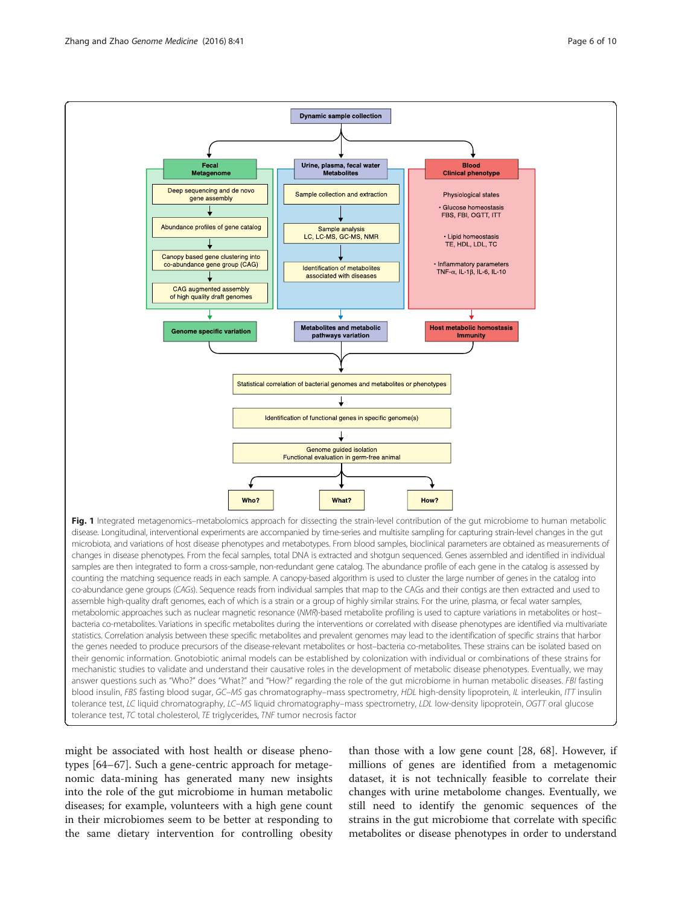<span id="page-5-0"></span>

their genomic information. Gnotobiotic animal models can be established by colonization with individual or combinations of these strains for mechanistic studies to validate and understand their causative roles in the development of metabolic disease phenotypes. Eventually, we may answer questions such as "Who?" does "What?" and "How?" regarding the role of the gut microbiome in human metabolic diseases. FBI fasting blood insulin, FBS fasting blood sugar, GC-MS gas chromatography-mass spectrometry, HDL high-density lipoprotein, IL interleukin, ITT insulin tolerance test, LC liquid chromatography, LC–MS liquid chromatography–mass spectrometry, LDL low-density lipoprotein, OGTT oral glucose tolerance test, TC total cholesterol, TE triglycerides, TNF tumor necrosis factor

might be associated with host health or disease phenotypes [[64](#page-9-0)–[67](#page-9-0)]. Such a gene-centric approach for metagenomic data-mining has generated many new insights into the role of the gut microbiome in human metabolic diseases; for example, volunteers with a high gene count in their microbiomes seem to be better at responding to the same dietary intervention for controlling obesity

than those with a low gene count [[28,](#page-8-0) [68\]](#page-9-0). However, if millions of genes are identified from a metagenomic dataset, it is not technically feasible to correlate their changes with urine metabolome changes. Eventually, we still need to identify the genomic sequences of the strains in the gut microbiome that correlate with specific metabolites or disease phenotypes in order to understand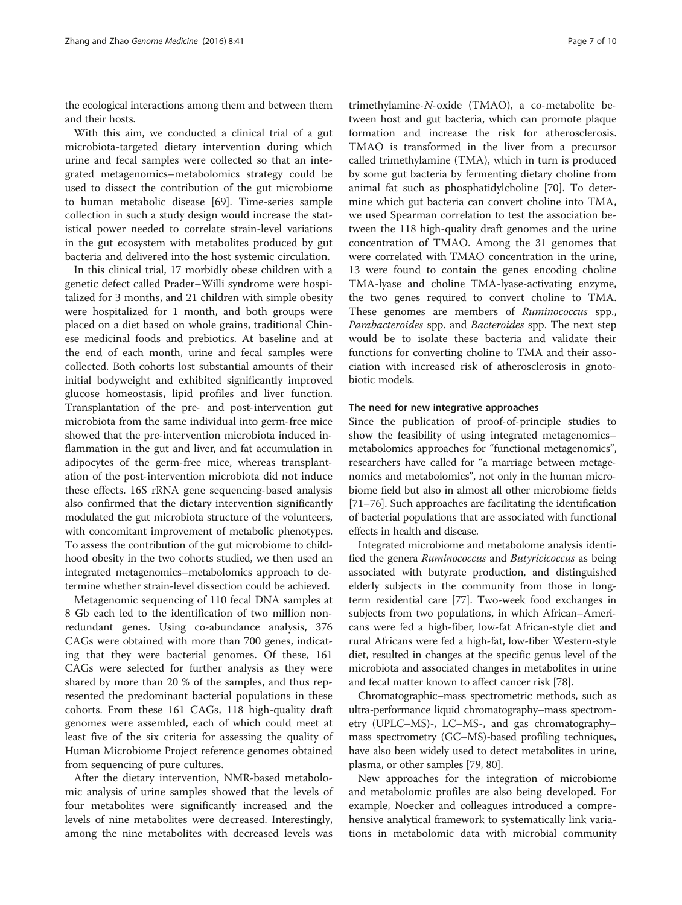the ecological interactions among them and between them and their hosts.

With this aim, we conducted a clinical trial of a gut microbiota-targeted dietary intervention during which urine and fecal samples were collected so that an integrated metagenomics–metabolomics strategy could be used to dissect the contribution of the gut microbiome to human metabolic disease [[69\]](#page-9-0). Time-series sample collection in such a study design would increase the statistical power needed to correlate strain-level variations in the gut ecosystem with metabolites produced by gut bacteria and delivered into the host systemic circulation.

In this clinical trial, 17 morbidly obese children with a genetic defect called Prader–Willi syndrome were hospitalized for 3 months, and 21 children with simple obesity were hospitalized for 1 month, and both groups were placed on a diet based on whole grains, traditional Chinese medicinal foods and prebiotics. At baseline and at the end of each month, urine and fecal samples were collected. Both cohorts lost substantial amounts of their initial bodyweight and exhibited significantly improved glucose homeostasis, lipid profiles and liver function. Transplantation of the pre- and post-intervention gut microbiota from the same individual into germ-free mice showed that the pre-intervention microbiota induced inflammation in the gut and liver, and fat accumulation in adipocytes of the germ-free mice, whereas transplantation of the post-intervention microbiota did not induce these effects. 16S rRNA gene sequencing-based analysis also confirmed that the dietary intervention significantly modulated the gut microbiota structure of the volunteers, with concomitant improvement of metabolic phenotypes. To assess the contribution of the gut microbiome to childhood obesity in the two cohorts studied, we then used an integrated metagenomics–metabolomics approach to determine whether strain-level dissection could be achieved.

Metagenomic sequencing of 110 fecal DNA samples at 8 Gb each led to the identification of two million nonredundant genes. Using co-abundance analysis, 376 CAGs were obtained with more than 700 genes, indicating that they were bacterial genomes. Of these, 161 CAGs were selected for further analysis as they were shared by more than 20 % of the samples, and thus represented the predominant bacterial populations in these cohorts. From these 161 CAGs, 118 high-quality draft genomes were assembled, each of which could meet at least five of the six criteria for assessing the quality of Human Microbiome Project reference genomes obtained from sequencing of pure cultures.

After the dietary intervention, NMR-based metabolomic analysis of urine samples showed that the levels of four metabolites were significantly increased and the levels of nine metabolites were decreased. Interestingly, among the nine metabolites with decreased levels was

trimethylamine-N-oxide (TMAO), a co-metabolite between host and gut bacteria, which can promote plaque formation and increase the risk for atherosclerosis. TMAO is transformed in the liver from a precursor called trimethylamine (TMA), which in turn is produced by some gut bacteria by fermenting dietary choline from animal fat such as phosphatidylcholine [\[70](#page-9-0)]. To determine which gut bacteria can convert choline into TMA, we used Spearman correlation to test the association between the 118 high-quality draft genomes and the urine concentration of TMAO. Among the 31 genomes that were correlated with TMAO concentration in the urine, 13 were found to contain the genes encoding choline TMA-lyase and choline TMA-lyase-activating enzyme, the two genes required to convert choline to TMA. These genomes are members of Ruminococcus spp., Parabacteroides spp. and Bacteroides spp. The next step would be to isolate these bacteria and validate their functions for converting choline to TMA and their association with increased risk of atherosclerosis in gnotobiotic models.

### The need for new integrative approaches

Since the publication of proof-of-principle studies to show the feasibility of using integrated metagenomics– metabolomics approaches for "functional metagenomics", researchers have called for "a marriage between metagenomics and metabolomics", not only in the human microbiome field but also in almost all other microbiome fields [[71](#page-9-0)–[76\]](#page-9-0). Such approaches are facilitating the identification of bacterial populations that are associated with functional effects in health and disease.

Integrated microbiome and metabolome analysis identified the genera Ruminococcus and Butyricicoccus as being associated with butyrate production, and distinguished elderly subjects in the community from those in longterm residential care [[77](#page-9-0)]. Two-week food exchanges in subjects from two populations, in which African–Americans were fed a high-fiber, low-fat African-style diet and rural Africans were fed a high-fat, low-fiber Western-style diet, resulted in changes at the specific genus level of the microbiota and associated changes in metabolites in urine and fecal matter known to affect cancer risk [\[78\]](#page-9-0).

Chromatographic–mass spectrometric methods, such as ultra-performance liquid chromatography–mass spectrometry (UPLC–MS)-, LC–MS-, and gas chromatography– mass spectrometry (GC–MS)-based profiling techniques, have also been widely used to detect metabolites in urine, plasma, or other samples [\[79, 80](#page-9-0)].

New approaches for the integration of microbiome and metabolomic profiles are also being developed. For example, Noecker and colleagues introduced a comprehensive analytical framework to systematically link variations in metabolomic data with microbial community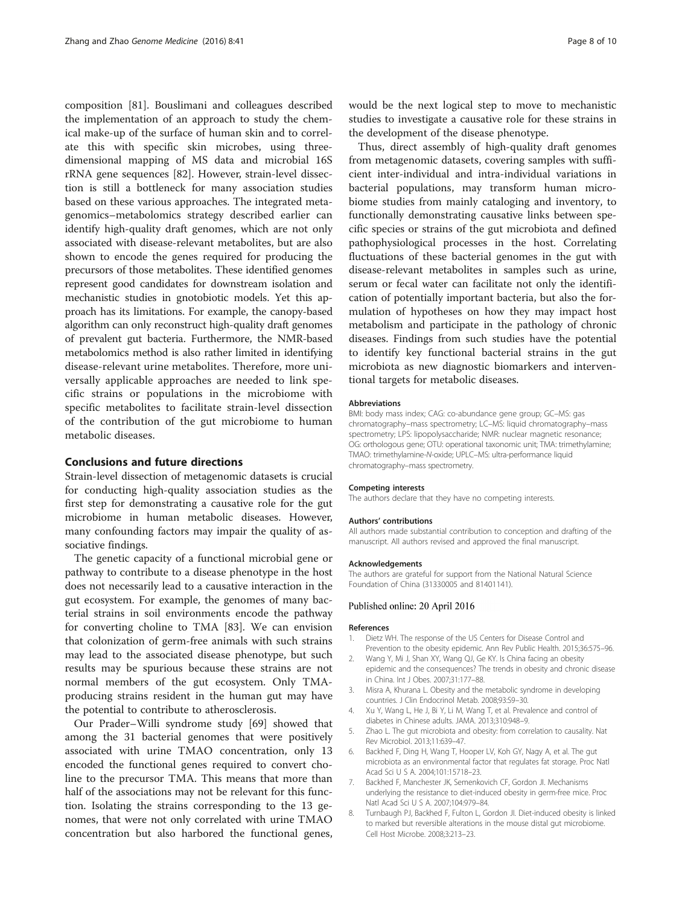<span id="page-7-0"></span>composition [\[81](#page-9-0)]. Bouslimani and colleagues described the implementation of an approach to study the chemical make-up of the surface of human skin and to correlate this with specific skin microbes, using threedimensional mapping of MS data and microbial 16S rRNA gene sequences [\[82](#page-9-0)]. However, strain-level dissection is still a bottleneck for many association studies based on these various approaches. The integrated metagenomics–metabolomics strategy described earlier can identify high-quality draft genomes, which are not only associated with disease-relevant metabolites, but are also shown to encode the genes required for producing the precursors of those metabolites. These identified genomes represent good candidates for downstream isolation and mechanistic studies in gnotobiotic models. Yet this approach has its limitations. For example, the canopy-based algorithm can only reconstruct high-quality draft genomes of prevalent gut bacteria. Furthermore, the NMR-based metabolomics method is also rather limited in identifying disease-relevant urine metabolites. Therefore, more universally applicable approaches are needed to link specific strains or populations in the microbiome with specific metabolites to facilitate strain-level dissection of the contribution of the gut microbiome to human metabolic diseases.

## Conclusions and future directions

Strain-level dissection of metagenomic datasets is crucial for conducting high-quality association studies as the first step for demonstrating a causative role for the gut microbiome in human metabolic diseases. However, many confounding factors may impair the quality of associative findings.

The genetic capacity of a functional microbial gene or pathway to contribute to a disease phenotype in the host does not necessarily lead to a causative interaction in the gut ecosystem. For example, the genomes of many bacterial strains in soil environments encode the pathway for converting choline to TMA [[83\]](#page-9-0). We can envision that colonization of germ-free animals with such strains may lead to the associated disease phenotype, but such results may be spurious because these strains are not normal members of the gut ecosystem. Only TMAproducing strains resident in the human gut may have the potential to contribute to atherosclerosis.

Our Prader–Willi syndrome study [\[69](#page-9-0)] showed that among the 31 bacterial genomes that were positively associated with urine TMAO concentration, only 13 encoded the functional genes required to convert choline to the precursor TMA. This means that more than half of the associations may not be relevant for this function. Isolating the strains corresponding to the 13 genomes, that were not only correlated with urine TMAO concentration but also harbored the functional genes, would be the next logical step to move to mechanistic studies to investigate a causative role for these strains in the development of the disease phenotype.

Thus, direct assembly of high-quality draft genomes from metagenomic datasets, covering samples with sufficient inter-individual and intra-individual variations in bacterial populations, may transform human microbiome studies from mainly cataloging and inventory, to functionally demonstrating causative links between specific species or strains of the gut microbiota and defined pathophysiological processes in the host. Correlating fluctuations of these bacterial genomes in the gut with disease-relevant metabolites in samples such as urine, serum or fecal water can facilitate not only the identification of potentially important bacteria, but also the formulation of hypotheses on how they may impact host metabolism and participate in the pathology of chronic diseases. Findings from such studies have the potential to identify key functional bacterial strains in the gut microbiota as new diagnostic biomarkers and interventional targets for metabolic diseases.

#### Abbreviations

BMI: body mass index; CAG: co-abundance gene group; GC–MS: gas chromatography–mass spectrometry; LC–MS: liquid chromatography–mass spectrometry; LPS: lipopolysaccharide; NMR: nuclear magnetic resonance; OG: orthologous gene; OTU: operational taxonomic unit; TMA: trimethylamine; TMAO: trimethylamine-N-oxide; UPLC–MS: ultra-performance liquid chromatography–mass spectrometry.

#### Competing interests

The authors declare that they have no competing interests.

#### Authors' contributions

All authors made substantial contribution to conception and drafting of the manuscript. All authors revised and approved the final manuscript.

#### Acknowledgements

The authors are grateful for support from the National Natural Science Foundation of China (31330005 and 81401141).

#### Published online: 20 April 2016

#### References

- 1. Dietz WH. The response of the US Centers for Disease Control and Prevention to the obesity epidemic. Ann Rev Public Health. 2015;36:575–96.
- 2. Wang Y, Mi J, Shan XY, Wang QJ, Ge KY. Is China facing an obesity epidemic and the consequences? The trends in obesity and chronic disease in China. Int J Obes. 2007;31:177–88.
- 3. Misra A, Khurana L. Obesity and the metabolic syndrome in developing countries. J Clin Endocrinol Metab. 2008;93:S9–30.
- 4. Xu Y, Wang L, He J, Bi Y, Li M, Wang T, et al. Prevalence and control of diabetes in Chinese adults. JAMA. 2013;310:948–9.
- 5. Zhao L. The gut microbiota and obesity: from correlation to causality. Nat Rev Microbiol. 2013;11:639–47.
- 6. Backhed F, Ding H, Wang T, Hooper LV, Koh GY, Nagy A, et al. The gut microbiota as an environmental factor that regulates fat storage. Proc Natl Acad Sci U S A. 2004;101:15718–23.
- 7. Backhed F, Manchester JK, Semenkovich CF, Gordon JI. Mechanisms underlying the resistance to diet-induced obesity in germ-free mice. Proc Natl Acad Sci U S A. 2007;104:979–84.
- 8. Turnbaugh PJ, Backhed F, Fulton L, Gordon JI. Diet-induced obesity is linked to marked but reversible alterations in the mouse distal gut microbiome. Cell Host Microbe. 2008;3:213–23.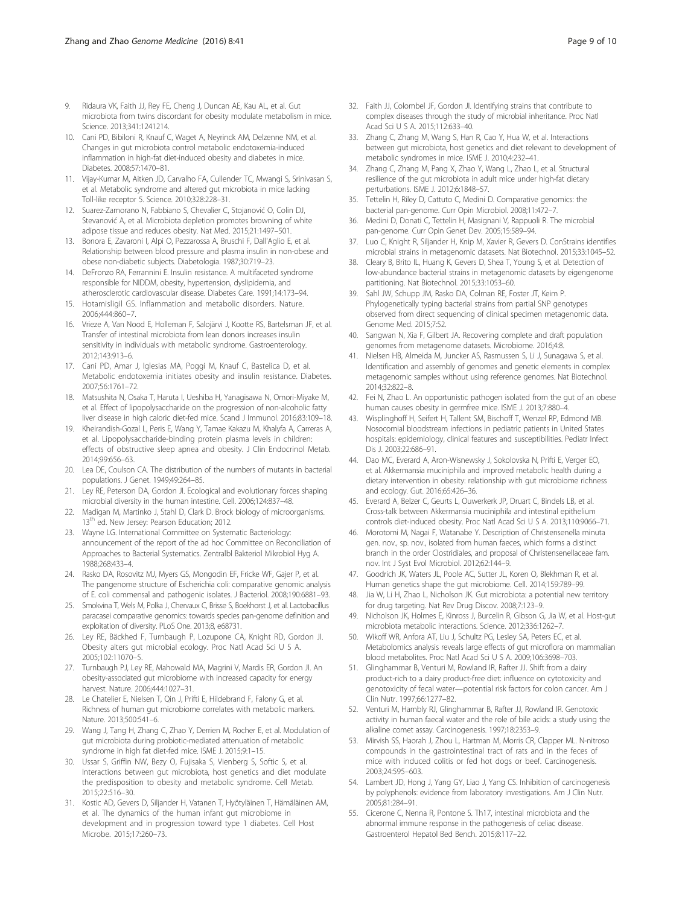- <span id="page-8-0"></span>9. Ridaura VK, Faith JJ, Rey FE, Cheng J, Duncan AE, Kau AL, et al. Gut microbiota from twins discordant for obesity modulate metabolism in mice. Science. 2013;341:1241214.
- 10. Cani PD, Bibiloni R, Knauf C, Waget A, Neyrinck AM, Delzenne NM, et al. Changes in gut microbiota control metabolic endotoxemia-induced inflammation in high-fat diet-induced obesity and diabetes in mice. Diabetes. 2008;57:1470–81.
- 11. Vijay-Kumar M, Aitken JD, Carvalho FA, Cullender TC, Mwangi S, Srinivasan S, et al. Metabolic syndrome and altered gut microbiota in mice lacking Toll-like receptor 5. Science. 2010;328:228–31.
- 12. Suarez-Zamorano N, Fabbiano S, Chevalier C, Stojanović O, Colin DJ, Stevanović A, et al. Microbiota depletion promotes browning of white adipose tissue and reduces obesity. Nat Med. 2015;21:1497–501.
- 13. Bonora E, Zavaroni I, Alpi O, Pezzarossa A, Bruschi F, Dall'Aglio E, et al. Relationship between blood pressure and plasma insulin in non-obese and obese non-diabetic subjects. Diabetologia. 1987;30:719–23.
- 14. DeFronzo RA, Ferrannini E. Insulin resistance. A multifaceted syndrome responsible for NIDDM, obesity, hypertension, dyslipidemia, and atherosclerotic cardiovascular disease. Diabetes Care. 1991;14:173–94.
- 15. Hotamisligil GS. Inflammation and metabolic disorders. Nature. 2006;444:860–7.
- 16. Vrieze A, Van Nood E, Holleman F, Salojärvi J, Kootte RS, Bartelsman JF, et al. Transfer of intestinal microbiota from lean donors increases insulin sensitivity in individuals with metabolic syndrome. Gastroenterology. 2012;143:913–6.
- 17. Cani PD, Amar J, Iglesias MA, Poggi M, Knauf C, Bastelica D, et al. Metabolic endotoxemia initiates obesity and insulin resistance. Diabetes. 2007;56:1761–72.
- 18. Matsushita N, Osaka T, Haruta I, Ueshiba H, Yanagisawa N, Omori-Miyake M, et al. Effect of lipopolysaccharide on the progression of non-alcoholic fatty liver disease in high caloric diet-fed mice. Scand J Immunol. 2016;83:109–18.
- 19. Kheirandish-Gozal L, Peris E, Wang Y, Tamae Kakazu M, Khalyfa A, Carreras A, et al. Lipopolysaccharide-binding protein plasma levels in children: effects of obstructive sleep apnea and obesity. J Clin Endocrinol Metab. 2014;99:656–63.
- 20. Lea DE, Coulson CA. The distribution of the numbers of mutants in bacterial populations. J Genet. 1949;49:264–85.
- 21. Ley RE, Peterson DA, Gordon JI. Ecological and evolutionary forces shaping microbial diversity in the human intestine. Cell. 2006;124:837–48.
- 22. Madigan M, Martinko J, Stahl D, Clark D. Brock biology of microorganisms. 13<sup>th</sup> ed. New Jersey: Pearson Education; 2012.
- 23. Wayne LG. International Committee on Systematic Bacteriology: announcement of the report of the ad hoc Committee on Reconciliation of Approaches to Bacterial Systematics. Zentralbl Bakteriol Mikrobiol Hyg A. 1988;268:433–4.
- 24. Rasko DA, Rosovitz MJ, Myers GS, Mongodin EF, Fricke WF, Gajer P, et al. The pangenome structure of Escherichia coli: comparative genomic analysis of E. coli commensal and pathogenic isolates. J Bacteriol. 2008;190:6881–93.
- 25. Smokvina T, Wels M, Polka J, Chervaux C, Brisse S, Boekhorst J, et al. Lactobacillus paracasei comparative genomics: towards species pan-genome definition and exploitation of diversity. PLoS One. 2013;8, e68731.
- 26. Ley RE, Bäckhed F, Turnbaugh P, Lozupone CA, Knight RD, Gordon JI. Obesity alters gut microbial ecology. Proc Natl Acad Sci U S A. 2005;102:11070–5.
- 27. Turnbaugh PJ, Ley RE, Mahowald MA, Magrini V, Mardis ER, Gordon JI. An obesity-associated gut microbiome with increased capacity for energy harvest. Nature. 2006;444:1027–31.
- 28. Le Chatelier E, Nielsen T, Qin J, Prifti E, Hildebrand F, Falony G, et al. Richness of human gut microbiome correlates with metabolic markers. Nature. 2013;500:541–6.
- 29. Wang J, Tang H, Zhang C, Zhao Y, Derrien M, Rocher E, et al. Modulation of gut microbiota during probiotic-mediated attenuation of metabolic syndrome in high fat diet-fed mice. ISME J. 2015;9:1–15.
- 30. Ussar S, Griffin NW, Bezy O, Fujisaka S, Vienberg S, Softic S, et al. Interactions between gut microbiota, host genetics and diet modulate the predisposition to obesity and metabolic syndrome. Cell Metab. 2015;22:516–30.
- 31. Kostic AD, Gevers D, Siljander H, Vatanen T, Hyötyläinen T, Hämäläinen AM, et al. The dynamics of the human infant gut microbiome in development and in progression toward type 1 diabetes. Cell Host Microbe. 2015;17:260–73.
- 32. Faith JJ, Colombel JF, Gordon JI. Identifying strains that contribute to complex diseases through the study of microbial inheritance. Proc Natl Acad Sci U S A. 2015;112:633–40.
- 33. Zhang C, Zhang M, Wang S, Han R, Cao Y, Hua W, et al. Interactions between gut microbiota, host genetics and diet relevant to development of metabolic syndromes in mice. ISME J. 2010;4:232–41.
- 34. Zhang C, Zhang M, Pang X, Zhao Y, Wang L, Zhao L, et al. Structural resilience of the gut microbiota in adult mice under high-fat dietary perturbations. ISME J. 2012;6:1848–57.
- 35. Tettelin H, Riley D, Cattuto C, Medini D. Comparative genomics: the bacterial pan-genome. Curr Opin Microbiol. 2008;11:472–7.
- 36. Medini D, Donati C, Tettelin H, Masignani V, Rappuoli R. The microbial pan-genome. Curr Opin Genet Dev. 2005;15:589–94.
- 37. Luo C, Knight R, Siljander H, Knip M, Xavier R, Gevers D. ConStrains identifies microbial strains in metagenomic datasets. Nat Biotechnol. 2015;33:1045–52.
- 38. Cleary B, Brito IL, Huang K, Gevers D, Shea T, Young S, et al. Detection of low-abundance bacterial strains in metagenomic datasets by eigengenome partitioning. Nat Biotechnol. 2015;33:1053–60.
- 39. Sahl JW, Schupp JM, Rasko DA, Colman RE, Foster JT, Keim P. Phylogenetically typing bacterial strains from partial SNP genotypes observed from direct sequencing of clinical specimen metagenomic data. Genome Med. 2015;7:52.
- 40. Sangwan N, Xia F, Gilbert JA. Recovering complete and draft population genomes from metagenome datasets. Microbiome. 2016;4:8.
- 41. Nielsen HB, Almeida M, Juncker AS, Rasmussen S, Li J, Sunagawa S, et al. Identification and assembly of genomes and genetic elements in complex metagenomic samples without using reference genomes. Nat Biotechnol. 2014;32:822–8.
- 42. Fei N, Zhao L. An opportunistic pathogen isolated from the gut of an obese human causes obesity in germfree mice. ISME J. 2013;7:880–4.
- 43. Wisplinghoff H, Seifert H, Tallent SM, Bischoff T, Wenzel RP, Edmond MB. Nosocomial bloodstream infections in pediatric patients in United States hospitals: epidemiology, clinical features and susceptibilities. Pediatr Infect Dis J. 2003;22:686–91.
- 44. Dao MC, Everard A, Aron-Wisnewsky J, Sokolovska N, Prifti E, Verger EO, et al. Akkermansia muciniphila and improved metabolic health during a dietary intervention in obesity: relationship with gut microbiome richness and ecology. Gut. 2016;65:426–36.
- 45. Everard A, Belzer C, Geurts L, Ouwerkerk JP, Druart C, Bindels LB, et al. Cross-talk between Akkermansia muciniphila and intestinal epithelium controls diet-induced obesity. Proc Natl Acad Sci U S A. 2013;110:9066–71.
- 46. Morotomi M, Nagai F, Watanabe Y. Description of Christensenella minuta gen. nov., sp. nov., isolated from human faeces, which forms a distinct branch in the order Clostridiales, and proposal of Christensenellaceae fam. nov. Int J Syst Evol Microbiol. 2012;62:144–9.
- 47. Goodrich JK, Waters JL, Poole AC, Sutter JL, Koren O, Blekhman R, et al. Human genetics shape the gut microbiome. Cell. 2014;159:789–99.
- 48. Jia W, Li H, Zhao L, Nicholson JK. Gut microbiota: a potential new territory for drug targeting. Nat Rev Drug Discov. 2008;7:123–9.
- 49. Nicholson JK, Holmes E, Kinross J, Burcelin R, Gibson G, Jia W, et al. Host-gut microbiota metabolic interactions. Science. 2012;336:1262–7.
- 50. Wikoff WR, Anfora AT, Liu J, Schultz PG, Lesley SA, Peters EC, et al. Metabolomics analysis reveals large effects of gut microflora on mammalian blood metabolites. Proc Natl Acad Sci U S A. 2009;106:3698–703.
- 51. Glinghammar B, Venturi M, Rowland IR, Rafter JJ. Shift from a dairy product-rich to a dairy product-free diet: influence on cytotoxicity and genotoxicity of fecal water—potential risk factors for colon cancer. Am J Clin Nutr. 1997;66:1277–82.
- 52. Venturi M, Hambly RJ, Glinghammar B, Rafter JJ, Rowland IR. Genotoxic activity in human faecal water and the role of bile acids: a study using the alkaline comet assay. Carcinogenesis. 1997;18:2353–9.
- 53. Mirvish SS, Haorah J, Zhou L, Hartman M, Morris CR, Clapper ML. N-nitroso compounds in the gastrointestinal tract of rats and in the feces of mice with induced colitis or fed hot dogs or beef. Carcinogenesis. 2003;24:595–603.
- 54. Lambert JD, Hong J, Yang GY, Liao J, Yang CS. Inhibition of carcinogenesis by polyphenols: evidence from laboratory investigations. Am J Clin Nutr. 2005;81:284–91.
- 55. Cicerone C, Nenna R, Pontone S. Th17, intestinal microbiota and the abnormal immune response in the pathogenesis of celiac disease. Gastroenterol Hepatol Bed Bench. 2015;8:117–22.